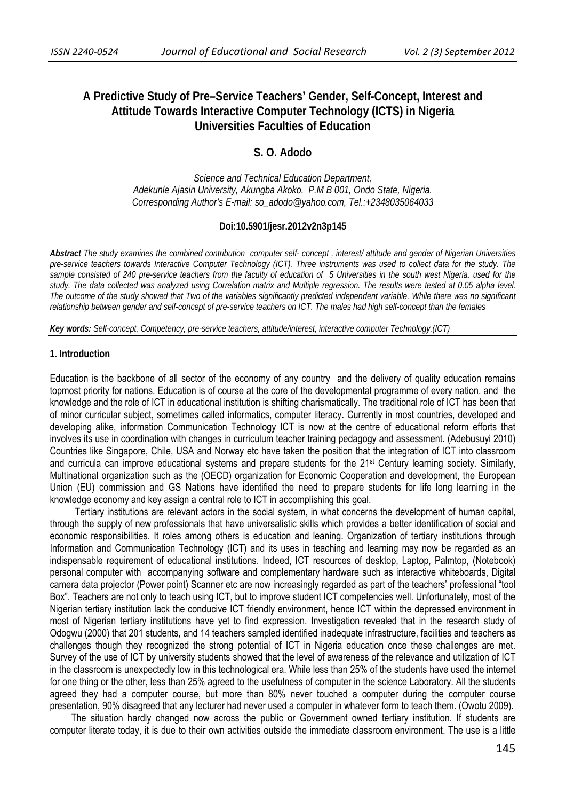# **A Predictive Study of Pre–Service Teachers' Gender, Self-Concept, Interest and Attitude Towards Interactive Computer Technology (ICTS) in Nigeria Universities Faculties of Education**

## **S. O. Adodo**

*Science and Technical Education Department, Adekunle Ajasin University, Akungba Akoko. P.M B 001, Ondo State, Nigeria. Corresponding Author's E-mail: so\_adodo@yahoo.com, Tel.:+2348035064033* 

### **Doi:10.5901/jesr.2012v2n3p145**

*Abstract The study examines the combined contribution computer self- concept , interest/ attitude and gender of Nigerian Universities pre-service teachers towards Interactive Computer Technology (ICT). Three instruments was used to collect data for the study. The*  sample consisted of 240 pre-service teachers from the faculty of education of 5 Universities in the south west Nigeria. used for the *study. The data collected was analyzed using Correlation matrix and Multiple regression. The results were tested at 0.05 alpha level. The outcome of the study showed that Two of the variables significantly predicted independent variable. While there was no significant*  relationship between gender and self-concept of pre-service teachers on ICT. The males had high self-concept than the females

*Key words: Self-concept, Competency, pre-service teachers, attitude/interest, interactive computer Technology.(ICT)* 

#### **1. Introduction**

Education is the backbone of all sector of the economy of any country and the delivery of quality education remains topmost priority for nations. Education is of course at the core of the developmental programme of every nation. and the knowledge and the role of ICT in educational institution is shifting charismatically. The traditional role of ICT has been that of minor curricular subject, sometimes called informatics, computer literacy. Currently in most countries, developed and developing alike, information Communication Technology ICT is now at the centre of educational reform efforts that involves its use in coordination with changes in curriculum teacher training pedagogy and assessment. (Adebusuyi 2010) Countries like Singapore, Chile, USA and Norway etc have taken the position that the integration of ICT into classroom and curricula can improve educational systems and prepare students for the 21st Century learning society. Similarly, Multinational organization such as the (OECD) organization for Economic Cooperation and development, the European Union (EU) commission and GS Nations have identified the need to prepare students for life long learning in the knowledge economy and key assign a central role to ICT in accomplishing this goal.

 Tertiary institutions are relevant actors in the social system, in what concerns the development of human capital, through the supply of new professionals that have universalistic skills which provides a better identification of social and economic responsibilities. It roles among others is education and leaning. Organization of tertiary institutions through Information and Communication Technology (ICT) and its uses in teaching and learning may now be regarded as an indispensable requirement of educational institutions. Indeed, ICT resources of desktop, Laptop, Palmtop, (Notebook) personal computer with accompanying software and complementary hardware such as interactive whiteboards, Digital camera data projector (Power point) Scanner etc are now increasingly regarded as part of the teachers' professional "tool Box". Teachers are not only to teach using ICT, but to improve student ICT competencies well. Unfortunately, most of the Nigerian tertiary institution lack the conducive ICT friendly environment, hence ICT within the depressed environment in most of Nigerian tertiary institutions have yet to find expression. Investigation revealed that in the research study of Odogwu (2000) that 201 students, and 14 teachers sampled identified inadequate infrastructure, facilities and teachers as challenges though they recognized the strong potential of ICT in Nigeria education once these challenges are met. Survey of the use of ICT by university students showed that the level of awareness of the relevance and utilization of ICT in the classroom is unexpectedly low in this technological era. While less than 25% of the students have used the internet for one thing or the other, less than 25% agreed to the usefulness of computer in the science Laboratory. All the students agreed they had a computer course, but more than 80% never touched a computer during the computer course presentation, 90% disagreed that any lecturer had never used a computer in whatever form to teach them. (Owotu 2009).

 The situation hardly changed now across the public or Government owned tertiary institution. If students are computer literate today, it is due to their own activities outside the immediate classroom environment. The use is a little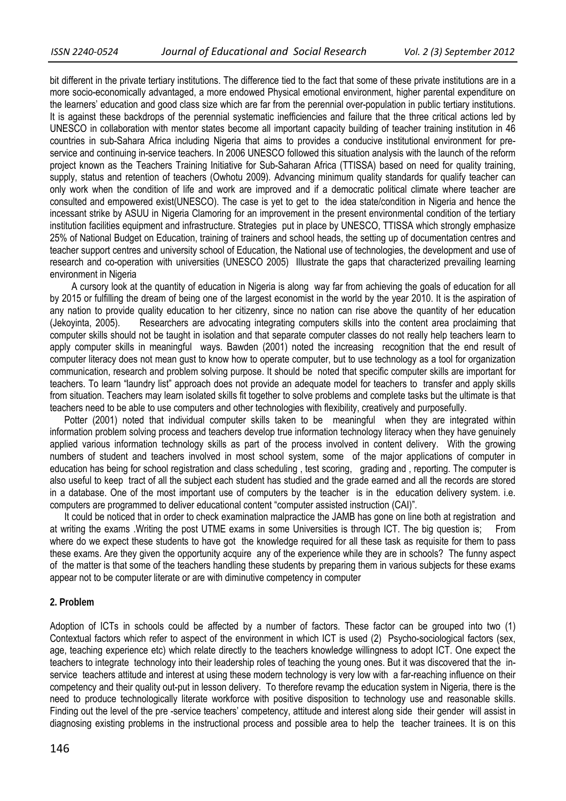bit different in the private tertiary institutions. The difference tied to the fact that some of these private institutions are in a more socio-economically advantaged, a more endowed Physical emotional environment, higher parental expenditure on the learners' education and good class size which are far from the perennial over-population in public tertiary institutions. It is against these backdrops of the perennial systematic inefficiencies and failure that the three critical actions led by UNESCO in collaboration with mentor states become all important capacity building of teacher training institution in 46 countries in sub-Sahara Africa including Nigeria that aims to provides a conducive institutional environment for preservice and continuing in-service teachers. In 2006 UNESCO followed this situation analysis with the launch of the reform project known as the Teachers Training Initiative for Sub-Saharan Africa (TTISSA) based on need for quality training, supply, status and retention of teachers (Owhotu 2009). Advancing minimum quality standards for qualify teacher can only work when the condition of life and work are improved and if a democratic political climate where teacher are consulted and empowered exist(UNESCO). The case is yet to get to the idea state/condition in Nigeria and hence the incessant strike by ASUU in Nigeria Clamoring for an improvement in the present environmental condition of the tertiary institution facilities equipment and infrastructure. Strategies put in place by UNESCO, TTISSA which strongly emphasize 25% of National Budget on Education, training of trainers and school heads, the setting up of documentation centres and teacher support centres and university school of Education, the National use of technologies, the development and use of research and co-operation with universities (UNESCO 2005) Illustrate the gaps that characterized prevailing learning environment in Nigeria

A cursory look at the quantity of education in Nigeria is along way far from achieving the goals of education for all by 2015 or fulfilling the dream of being one of the largest economist in the world by the year 2010. It is the aspiration of any nation to provide quality education to her citizenry, since no nation can rise above the quantity of her education (Jekoyinta, 2005). Researchers are advocating integrating computers skills into the content area proclaiming that computer skills should not be taught in isolation and that separate computer classes do not really help teachers learn to apply computer skills in meaningful ways. Bawden (2001) noted the increasing recognition that the end result of computer literacy does not mean gust to know how to operate computer, but to use technology as a tool for organization communication, research and problem solving purpose. It should be noted that specific computer skills are important for teachers. To learn "laundry list" approach does not provide an adequate model for teachers to transfer and apply skills from situation. Teachers may learn isolated skills fit together to solve problems and complete tasks but the ultimate is that teachers need to be able to use computers and other technologies with flexibility, creatively and purposefully.

Potter (2001) noted that individual computer skills taken to be meaningful when they are integrated within information problem solving process and teachers develop true information technology literacy when they have genuinely applied various information technology skills as part of the process involved in content delivery. With the growing numbers of student and teachers involved in most school system, some of the major applications of computer in education has being for school registration and class scheduling , test scoring, grading and , reporting. The computer is also useful to keep tract of all the subject each student has studied and the grade earned and all the records are stored in a database. One of the most important use of computers by the teacher is in the education delivery system. i.e. computers are programmed to deliver educational content "computer assisted instruction (CAI)".

 It could be noticed that in order to check examination malpractice the JAMB has gone on line both at registration and at writing the exams .Writing the post UTME exams in some Universities is through ICT. The big question is; From where do we expect these students to have got the knowledge required for all these task as requisite for them to pass these exams. Are they given the opportunity acquire any of the experience while they are in schools? The funny aspect of the matter is that some of the teachers handling these students by preparing them in various subjects for these exams appear not to be computer literate or are with diminutive competency in computer

### **2. Problem**

Adoption of ICTs in schools could be affected by a number of factors. These factor can be grouped into two (1) Contextual factors which refer to aspect of the environment in which ICT is used (2) Psycho-sociological factors (sex, age, teaching experience etc) which relate directly to the teachers knowledge willingness to adopt ICT. One expect the teachers to integrate technology into their leadership roles of teaching the young ones. But it was discovered that the inservice teachers attitude and interest at using these modern technology is very low with a far-reaching influence on their competency and their quality out-put in lesson delivery. To therefore revamp the education system in Nigeria, there is the need to produce technologically literate workforce with positive disposition to technology use and reasonable skills. Finding out the level of the pre -service teachers' competency, attitude and interest along side their gender will assist in diagnosing existing problems in the instructional process and possible area to help the teacher trainees. It is on this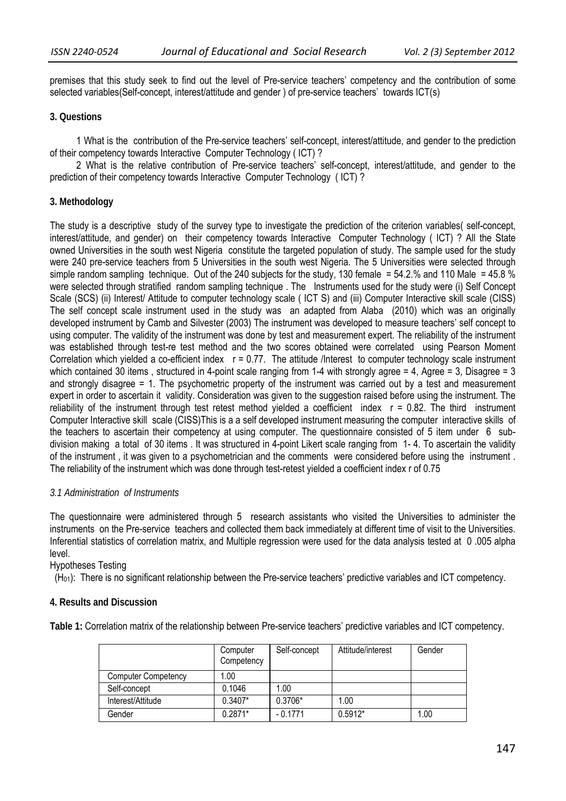premises that this study seek to find out the level of Pre-service teachers' competency and the contribution of some selected variables(Self-concept, interest/attitude and gender ) of pre-service teachers' towards ICT(s)

#### **3. Questions**

1 What is the contribution of the Pre-service teachers' self-concept, interest/attitude, and gender to the prediction of their competency towards Interactive Computer Technology ( ICT) ?

 2 What is the relative contribution of Pre-service teachers' self-concept, interest/attitude, and gender to the prediction of their competency towards Interactive Computer Technology ( ICT) ?

#### **3. Methodology**

The study is a descriptive study of the survey type to investigate the prediction of the criterion variables( self-concept, interest/attitude, and gender) on their competency towards Interactive Computer Technology ( ICT) ? All the State owned Universities in the south west Nigeria constitute the targeted population of study. The sample used for the study were 240 pre-service teachers from 5 Universities in the south west Nigeria. The 5 Universities were selected through simple random sampling technique. Out of the 240 subjects for the study, 130 female  $=$  54.2.% and 110 Male  $=$  45.8 % were selected through stratified random sampling technique . The Instruments used for the study were (i) Self Concept Scale (SCS) (ii) Interest/ Attitude to computer technology scale ( ICT S) and (iii) Computer Interactive skill scale (CISS) The self concept scale instrument used in the study was an adapted from Alaba (2010) which was an originally developed instrument by Camb and Silvester (2003) The instrument was developed to measure teachers' self concept to using computer. The validity of the instrument was done by test and measurement expert. The reliability of the instrument was established through test-re test method and the two scores obtained were correlated using Pearson Moment Correlation which yielded a co-efficient index  $r = 0.77$ . The attitude /Interest to computer technology scale instrument which contained 30 items, structured in 4-point scale ranging from 1-4 with strongly agree = 4, Agree = 3, Disagree = 3 and strongly disagree = 1. The psychometric property of the instrument was carried out by a test and measurement expert in order to ascertain it validity. Consideration was given to the suggestion raised before using the instrument. The reliability of the instrument through test retest method yielded a coefficient index  $r = 0.82$ . The third instrument Computer Interactive skill scale (CISS)This is a a self developed instrument measuring the computer interactive skills of the teachers to ascertain their competency at using computer. The questionnaire consisted of 5 item under 6 subdivision making a total of 30 items . It was structured in 4-point Likert scale ranging from 1- 4. To ascertain the validity of the instrument , it was given to a psychometrician and the comments were considered before using the instrument . The reliability of the instrument which was done through test-retest yielded a coefficient index r of 0.75

#### *3.1 Administration of Instruments*

The questionnaire were administered through 5 research assistants who visited the Universities to administer the instruments on the Pre-service teachers and collected them back immediately at different time of visit to the Universities. Inferential statistics of correlation matrix, and Multiple regression were used for the data analysis tested at 0 .005 alpha level.

#### Hypotheses Testing

 $(H<sub>01</sub>)$ : There is no significant relationship between the Pre-service teachers' predictive variables and ICT competency.

### **4. Results and Discussion**

**Table 1:** Correlation matrix of the relationship between Pre-service teachers' predictive variables and ICT competency.

|                            | Computer<br>Competency | Self-concept | Attitude/interest | Gender |
|----------------------------|------------------------|--------------|-------------------|--------|
| <b>Computer Competency</b> | 1.00                   |              |                   |        |
| Self-concept               | 0.1046                 | 1.00         |                   |        |
| Interest/Attitude          | $0.3407*$              | 0.3706*      | 1.00              |        |
| Gender                     | $0.2871*$              | $-0.1771$    | $0.5912*$         | 1.00   |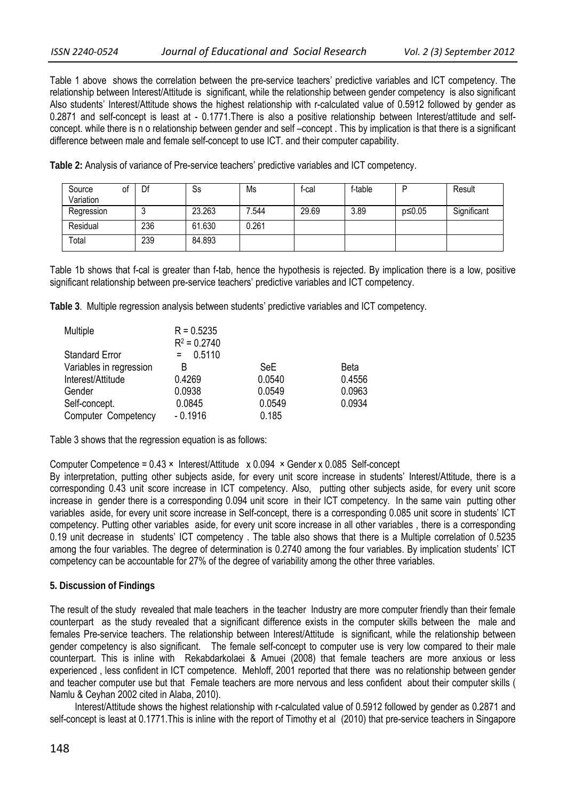Table 1 above shows the correlation between the pre-service teachers' predictive variables and ICT competency. The relationship between Interest/Attitude is significant, while the relationship between gender competency is also significant Also students' Interest/Attitude shows the highest relationship with r-calculated value of 0.5912 followed by gender as 0.2871 and self-concept is least at - 0.1771. There is also a positive relationship between Interest/attitude and selfconcept. while there is n o relationship between gender and self –concept . This by implication is that there is a significant difference between male and female self-concept to use ICT. and their computer capability.

| Source<br>Variation | Ο1 | Df  | Ss     | Ms    | f-cal | f-table | D      | Result      |
|---------------------|----|-----|--------|-------|-------|---------|--------|-------------|
| Regression          |    | u   | 23.263 | 7.544 | 29.69 | 3.89    | p≤0.05 | Significant |
| Residual            |    | 236 | 61.630 | 0.261 |       |         |        |             |
| Total               |    | 239 | 84.893 |       |       |         |        |             |

**Table 2:** Analysis of variance of Pre-service teachers' predictive variables and ICT competency.

Table 1b shows that f-cal is greater than f-tab, hence the hypothesis is rejected. By implication there is a low, positive significant relationship between pre-service teachers' predictive variables and ICT competency.

**Table 3**. Multiple regression analysis between students' predictive variables and ICT competency.

| Multiple                | $R = 0.5235$   |            |             |
|-------------------------|----------------|------------|-------------|
|                         | $R^2 = 0.2740$ |            |             |
| <b>Standard Error</b>   | 0.5110<br>$=$  |            |             |
| Variables in regression | В              | <b>SeE</b> | <b>Beta</b> |
| Interest/Attitude       | 0.4269         | 0.0540     | 0.4556      |
| Gender                  | 0.0938         | 0.0549     | 0.0963      |
| Self-concept.           | 0.0845         | 0.0549     | 0.0934      |
| Computer Competency     | $-0.1916$      | 0.185      |             |

Table 3 shows that the regression equation is as follows:

Computer Competence =  $0.43 \times$  Interest/Attitude  $\times 0.094 \times$  Gender x 0.085 Self-concept

By interpretation, putting other subjects aside, for every unit score increase in students' Interest/Attitude, there is a corresponding 0.43 unit score increase in ICT competency. Also, putting other subjects aside, for every unit score increase in gender there is a corresponding 0.094 unit score in their ICT competency. In the same vain putting other variables aside, for every unit score increase in Self-concept, there is a corresponding 0.085 unit score in students' ICT competency. Putting other variables aside, for every unit score increase in all other variables , there is a corresponding 0.19 unit decrease in students' ICT competency . The table also shows that there is a Multiple correlation of 0.5235 among the four variables. The degree of determination is 0.2740 among the four variables. By implication students' ICT competency can be accountable for 27% of the degree of variability among the other three variables.

#### **5. Discussion of Findings**

The result of the study revealed that male teachers in the teacher Industry are more computer friendly than their female counterpart as the study revealed that a significant difference exists in the computer skills between the male and females Pre-service teachers. The relationship between Interest/Attitude is significant, while the relationship between gender competency is also significant. The female self-concept to computer use is very low compared to their male counterpart. This is inline with Rekabdarkolaei & Amuei (2008) that female teachers are more anxious or less experienced , less confident in ICT competence. Mehloff, 2001 reported that there was no relationship between gender and teacher computer use but that Female teachers are more nervous and less confident about their computer skills ( Namlu & Ceyhan 2002 cited in Alaba, 2010).

Interest/Attitude shows the highest relationship with r-calculated value of 0.5912 followed by gender as 0.2871 and self-concept is least at 0.1771.This is inline with the report of Timothy et al (2010) that pre-service teachers in Singapore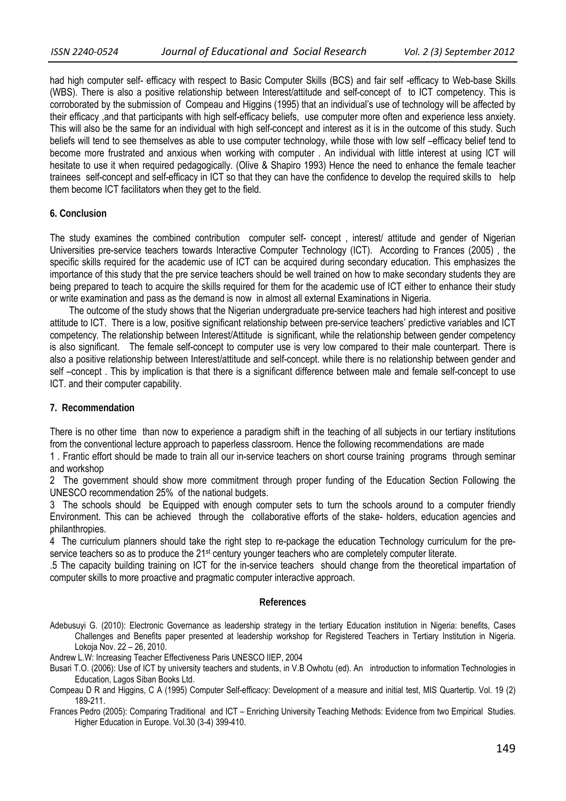had high computer self- efficacy with respect to Basic Computer Skills (BCS) and fair self -efficacy to Web-base Skills (WBS). There is also a positive relationship between Interest/attitude and self-concept of to ICT competency. This is corroborated by the submission of Compeau and Higgins (1995) that an individual's use of technology will be affected by their efficacy ,and that participants with high self-efficacy beliefs, use computer more often and experience less anxiety. This will also be the same for an individual with high self-concept and interest as it is in the outcome of this study. Such beliefs will tend to see themselves as able to use computer technology, while those with low self –efficacy belief tend to become more frustrated and anxious when working with computer . An individual with little interest at using ICT will hesitate to use it when required pedagogically. (Olive & Shapiro 1993) Hence the need to enhance the female teacher trainees self-concept and self-efficacy in ICT so that they can have the confidence to develop the required skills to help them become ICT facilitators when they get to the field.

#### **6. Conclusion**

The study examines the combined contribution computer self- concept , interest/ attitude and gender of Nigerian Universities pre-service teachers towards Interactive Computer Technology (ICT). According to Frances (2005) , the specific skills required for the academic use of ICT can be acquired during secondary education. This emphasizes the importance of this study that the pre service teachers should be well trained on how to make secondary students they are being prepared to teach to acquire the skills required for them for the academic use of ICT either to enhance their study or write examination and pass as the demand is now in almost all external Examinations in Nigeria.

 The outcome of the study shows that the Nigerian undergraduate pre-service teachers had high interest and positive attitude to ICT. There is a low, positive significant relationship between pre-service teachers' predictive variables and ICT competency. The relationship between Interest/Attitude is significant, while the relationship between gender competency is also significant. The female self-concept to computer use is very low compared to their male counterpart. There is also a positive relationship between Interest/attitude and self-concept. while there is no relationship between gender and self –concept. This by implication is that there is a significant difference between male and female self-concept to use ICT. and their computer capability.

#### **7. Recommendation**

There is no other time than now to experience a paradigm shift in the teaching of all subjects in our tertiary institutions from the conventional lecture approach to paperless classroom. Hence the following recommendations are made

1 . Frantic effort should be made to train all our in-service teachers on short course training programs through seminar and workshop

2 The government should show more commitment through proper funding of the Education Section Following the UNESCO recommendation 25% of the national budgets.

3 The schools should be Equipped with enough computer sets to turn the schools around to a computer friendly Environment. This can be achieved through the collaborative efforts of the stake- holders, education agencies and philanthropies.

4 The curriculum planners should take the right step to re-package the education Technology curriculum for the preservice teachers so as to produce the 21<sup>st</sup> century younger teachers who are completely computer literate.

.5 The capacity building training on ICT for the in-service teachers should change from the theoretical impartation of computer skills to more proactive and pragmatic computer interactive approach.

### **References**

Adebusuyi G. (2010): Electronic Governance as leadership strategy in the tertiary Education institution in Nigeria: benefits, Cases Challenges and Benefits paper presented at leadership workshop for Registered Teachers in Tertiary Institution in Nigeria. Lokoja Nov. 22 – 26, 2010.

Andrew L.W: Increasing Teacher Effectiveness Paris UNESCO IIEP, 2004

- Busari T.O. (2006): Use of ICT by university teachers and students, in V.B Owhotu (ed). An introduction to information Technologies in Education, Lagos Siban Books Ltd.
- Compeau D R and Higgins, C A (1995) Computer Self-efficacy: Development of a measure and initial test, MIS Quartertip. Vol. 19 (2) 189-211.

Frances Pedro (2005): Comparing Traditional and ICT – Enriching University Teaching Methods: Evidence from two Empirical Studies. Higher Education in Europe. Vol.30 (3-4) 399-410.